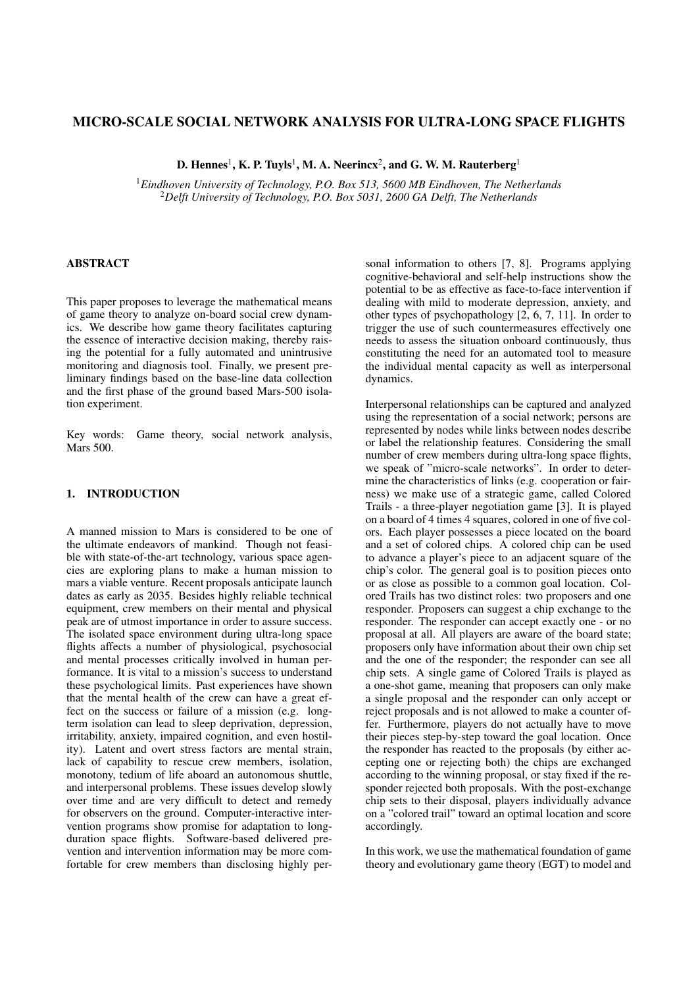# MICRO-SCALE SOCIAL NETWORK ANALYSIS FOR ULTRA-LONG SPACE FLIGHTS

D. Hennes<sup>1</sup>, K. P. Tuyls<sup>1</sup>, M. A. Neerincx<sup>2</sup>, and G. W. M. Rauterberg<sup>1</sup>

<sup>1</sup>*Eindhoven University of Technology, P.O. Box 513, 5600 MB Eindhoven, The Netherlands* <sup>2</sup>*Delft University of Technology, P.O. Box 5031, 2600 GA Delft, The Netherlands*

## ABSTRACT

This paper proposes to leverage the mathematical means of game theory to analyze on-board social crew dynamics. We describe how game theory facilitates capturing the essence of interactive decision making, thereby raising the potential for a fully automated and unintrusive monitoring and diagnosis tool. Finally, we present preliminary findings based on the base-line data collection and the first phase of the ground based Mars-500 isolation experiment.

Key words: Game theory, social network analysis, Mars 500.

## 1. INTRODUCTION

A manned mission to Mars is considered to be one of the ultimate endeavors of mankind. Though not feasible with state-of-the-art technology, various space agencies are exploring plans to make a human mission to mars a viable venture. Recent proposals anticipate launch dates as early as 2035. Besides highly reliable technical equipment, crew members on their mental and physical peak are of utmost importance in order to assure success. The isolated space environment during ultra-long space flights affects a number of physiological, psychosocial and mental processes critically involved in human performance. It is vital to a mission's success to understand these psychological limits. Past experiences have shown that the mental health of the crew can have a great effect on the success or failure of a mission (e.g. longterm isolation can lead to sleep deprivation, depression, irritability, anxiety, impaired cognition, and even hostility). Latent and overt stress factors are mental strain, lack of capability to rescue crew members, isolation, monotony, tedium of life aboard an autonomous shuttle, and interpersonal problems. These issues develop slowly over time and are very difficult to detect and remedy for observers on the ground. Computer-interactive intervention programs show promise for adaptation to longduration space flights. Software-based delivered prevention and intervention information may be more comfortable for crew members than disclosing highly personal information to others [7, 8]. Programs applying cognitive-behavioral and self-help instructions show the potential to be as effective as face-to-face intervention if dealing with mild to moderate depression, anxiety, and other types of psychopathology [2, 6, 7, 11]. In order to trigger the use of such countermeasures effectively one needs to assess the situation onboard continuously, thus constituting the need for an automated tool to measure the individual mental capacity as well as interpersonal dynamics.

Interpersonal relationships can be captured and analyzed using the representation of a social network; persons are represented by nodes while links between nodes describe or label the relationship features. Considering the small number of crew members during ultra-long space flights, we speak of "micro-scale networks". In order to determine the characteristics of links (e.g. cooperation or fairness) we make use of a strategic game, called Colored Trails - a three-player negotiation game [3]. It is played on a board of 4 times 4 squares, colored in one of five colors. Each player possesses a piece located on the board and a set of colored chips. A colored chip can be used to advance a player's piece to an adjacent square of the chip's color. The general goal is to position pieces onto or as close as possible to a common goal location. Colored Trails has two distinct roles: two proposers and one responder. Proposers can suggest a chip exchange to the responder. The responder can accept exactly one - or no proposal at all. All players are aware of the board state; proposers only have information about their own chip set and the one of the responder; the responder can see all chip sets. A single game of Colored Trails is played as a one-shot game, meaning that proposers can only make a single proposal and the responder can only accept or reject proposals and is not allowed to make a counter offer. Furthermore, players do not actually have to move their pieces step-by-step toward the goal location. Once the responder has reacted to the proposals (by either accepting one or rejecting both) the chips are exchanged according to the winning proposal, or stay fixed if the responder rejected both proposals. With the post-exchange chip sets to their disposal, players individually advance on a "colored trail" toward an optimal location and score accordingly.

In this work, we use the mathematical foundation of game theory and evolutionary game theory (EGT) to model and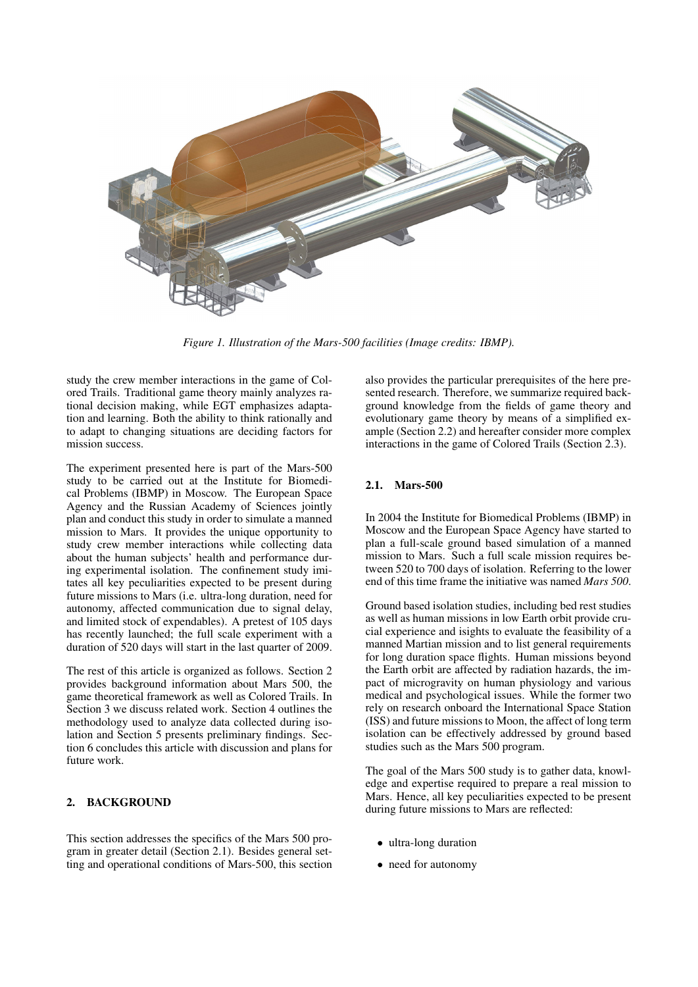

*Figure 1. Illustration of the Mars-500 facilities (Image credits: IBMP).*

study the crew member interactions in the game of Colored Trails. Traditional game theory mainly analyzes rational decision making, while EGT emphasizes adaptation and learning. Both the ability to think rationally and to adapt to changing situations are deciding factors for mission success.

The experiment presented here is part of the Mars-500 study to be carried out at the Institute for Biomedical Problems (IBMP) in Moscow. The European Space Agency and the Russian Academy of Sciences jointly plan and conduct this study in order to simulate a manned mission to Mars. It provides the unique opportunity to study crew member interactions while collecting data about the human subjects' health and performance during experimental isolation. The confinement study imitates all key peculiarities expected to be present during future missions to Mars (i.e. ultra-long duration, need for autonomy, affected communication due to signal delay, and limited stock of expendables). A pretest of 105 days has recently launched; the full scale experiment with a duration of 520 days will start in the last quarter of 2009.

The rest of this article is organized as follows. Section 2 provides background information about Mars 500, the game theoretical framework as well as Colored Trails. In Section 3 we discuss related work. Section 4 outlines the methodology used to analyze data collected during isolation and Section 5 presents preliminary findings. Section 6 concludes this article with discussion and plans for future work.

# 2. BACKGROUND

This section addresses the specifics of the Mars 500 program in greater detail (Section 2.1). Besides general setting and operational conditions of Mars-500, this section also provides the particular prerequisites of the here presented research. Therefore, we summarize required background knowledge from the fields of game theory and evolutionary game theory by means of a simplified example (Section 2.2) and hereafter consider more complex interactions in the game of Colored Trails (Section 2.3).

## 2.1. Mars-500

In 2004 the Institute for Biomedical Problems (IBMP) in Moscow and the European Space Agency have started to plan a full-scale ground based simulation of a manned mission to Mars. Such a full scale mission requires between 520 to 700 days of isolation. Referring to the lower end of this time frame the initiative was named *Mars 500*.

Ground based isolation studies, including bed rest studies as well as human missions in low Earth orbit provide crucial experience and isights to evaluate the feasibility of a manned Martian mission and to list general requirements for long duration space flights. Human missions beyond the Earth orbit are affected by radiation hazards, the impact of microgravity on human physiology and various medical and psychological issues. While the former two rely on research onboard the International Space Station (ISS) and future missions to Moon, the affect of long term isolation can be effectively addressed by ground based studies such as the Mars 500 program.

The goal of the Mars 500 study is to gather data, knowledge and expertise required to prepare a real mission to Mars. Hence, all key peculiarities expected to be present during future missions to Mars are reflected:

- ultra-long duration
- need for autonomy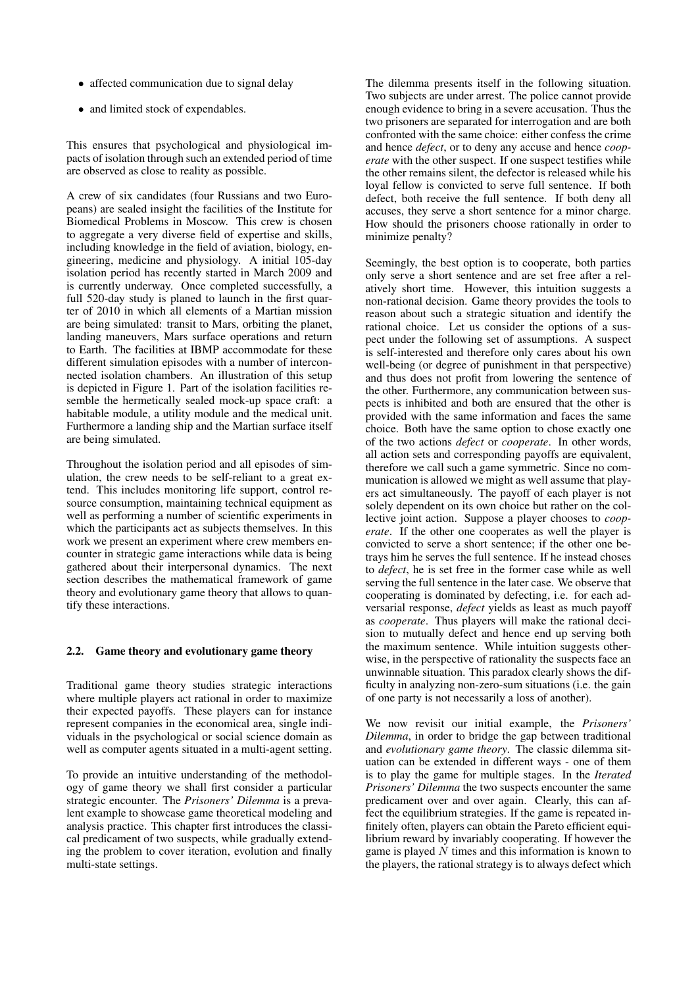- affected communication due to signal delay
- and limited stock of expendables.

This ensures that psychological and physiological impacts of isolation through such an extended period of time are observed as close to reality as possible.

A crew of six candidates (four Russians and two Europeans) are sealed insight the facilities of the Institute for Biomedical Problems in Moscow. This crew is chosen to aggregate a very diverse field of expertise and skills, including knowledge in the field of aviation, biology, engineering, medicine and physiology. A initial 105-day isolation period has recently started in March 2009 and is currently underway. Once completed successfully, a full 520-day study is planed to launch in the first quarter of 2010 in which all elements of a Martian mission are being simulated: transit to Mars, orbiting the planet, landing maneuvers, Mars surface operations and return to Earth. The facilities at IBMP accommodate for these different simulation episodes with a number of interconnected isolation chambers. An illustration of this setup is depicted in Figure 1. Part of the isolation facilities resemble the hermetically sealed mock-up space craft: a habitable module, a utility module and the medical unit. Furthermore a landing ship and the Martian surface itself are being simulated.

Throughout the isolation period and all episodes of simulation, the crew needs to be self-reliant to a great extend. This includes monitoring life support, control resource consumption, maintaining technical equipment as well as performing a number of scientific experiments in which the participants act as subjects themselves. In this work we present an experiment where crew members encounter in strategic game interactions while data is being gathered about their interpersonal dynamics. The next section describes the mathematical framework of game theory and evolutionary game theory that allows to quantify these interactions.

## 2.2. Game theory and evolutionary game theory

Traditional game theory studies strategic interactions where multiple players act rational in order to maximize their expected payoffs. These players can for instance represent companies in the economical area, single individuals in the psychological or social science domain as well as computer agents situated in a multi-agent setting.

To provide an intuitive understanding of the methodology of game theory we shall first consider a particular strategic encounter. The *Prisoners' Dilemma* is a prevalent example to showcase game theoretical modeling and analysis practice. This chapter first introduces the classical predicament of two suspects, while gradually extending the problem to cover iteration, evolution and finally multi-state settings.

The dilemma presents itself in the following situation. Two subjects are under arrest. The police cannot provide enough evidence to bring in a severe accusation. Thus the two prisoners are separated for interrogation and are both confronted with the same choice: either confess the crime and hence *defect*, or to deny any accuse and hence *cooperate* with the other suspect. If one suspect testifies while the other remains silent, the defector is released while his loyal fellow is convicted to serve full sentence. If both defect, both receive the full sentence. If both deny all accuses, they serve a short sentence for a minor charge. How should the prisoners choose rationally in order to minimize penalty?

Seemingly, the best option is to cooperate, both parties only serve a short sentence and are set free after a relatively short time. However, this intuition suggests a non-rational decision. Game theory provides the tools to reason about such a strategic situation and identify the rational choice. Let us consider the options of a suspect under the following set of assumptions. A suspect is self-interested and therefore only cares about his own well-being (or degree of punishment in that perspective) and thus does not profit from lowering the sentence of the other. Furthermore, any communication between suspects is inhibited and both are ensured that the other is provided with the same information and faces the same choice. Both have the same option to chose exactly one of the two actions *defect* or *cooperate*. In other words, all action sets and corresponding payoffs are equivalent, therefore we call such a game symmetric. Since no communication is allowed we might as well assume that players act simultaneously. The payoff of each player is not solely dependent on its own choice but rather on the collective joint action. Suppose a player chooses to *cooperate*. If the other one cooperates as well the player is convicted to serve a short sentence; if the other one betrays him he serves the full sentence. If he instead choses to *defect*, he is set free in the former case while as well serving the full sentence in the later case. We observe that cooperating is dominated by defecting, i.e. for each adversarial response, *defect* yields as least as much payoff as *cooperate*. Thus players will make the rational decision to mutually defect and hence end up serving both the maximum sentence. While intuition suggests otherwise, in the perspective of rationality the suspects face an unwinnable situation. This paradox clearly shows the difficulty in analyzing non-zero-sum situations (i.e. the gain of one party is not necessarily a loss of another).

We now revisit our initial example, the *Prisoners' Dilemma*, in order to bridge the gap between traditional and *evolutionary game theory*. The classic dilemma situation can be extended in different ways - one of them is to play the game for multiple stages. In the *Iterated Prisoners' Dilemma* the two suspects encounter the same predicament over and over again. Clearly, this can affect the equilibrium strategies. If the game is repeated infinitely often, players can obtain the Pareto efficient equilibrium reward by invariably cooperating. If however the game is played  $N$  times and this information is known to the players, the rational strategy is to always defect which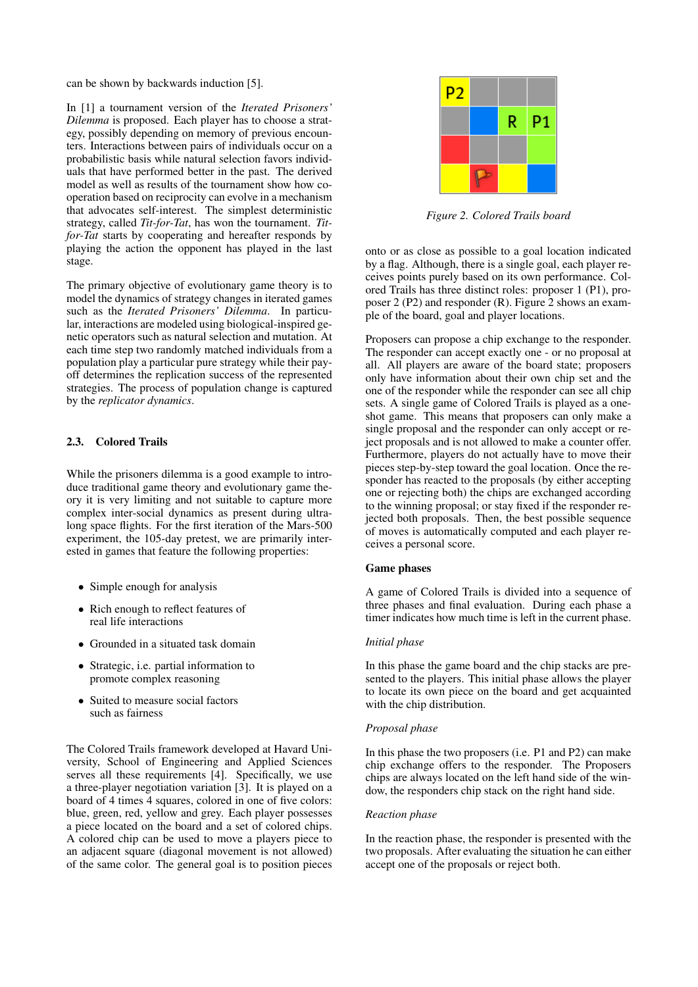can be shown by backwards induction [5].

In [1] a tournament version of the *Iterated Prisoners' Dilemma* is proposed. Each player has to choose a strategy, possibly depending on memory of previous encounters. Interactions between pairs of individuals occur on a probabilistic basis while natural selection favors individuals that have performed better in the past. The derived model as well as results of the tournament show how cooperation based on reciprocity can evolve in a mechanism that advocates self-interest. The simplest deterministic strategy, called *Tit-for-Tat*, has won the tournament. *Titfor-Tat* starts by cooperating and hereafter responds by playing the action the opponent has played in the last stage.

The primary objective of evolutionary game theory is to model the dynamics of strategy changes in iterated games such as the *Iterated Prisoners' Dilemma*. In particular, interactions are modeled using biological-inspired genetic operators such as natural selection and mutation. At each time step two randomly matched individuals from a population play a particular pure strategy while their payoff determines the replication success of the represented strategies. The process of population change is captured by the *replicator dynamics*.

## 2.3. Colored Trails

While the prisoners dilemma is a good example to introduce traditional game theory and evolutionary game theory it is very limiting and not suitable to capture more complex inter-social dynamics as present during ultralong space flights. For the first iteration of the Mars-500 experiment, the 105-day pretest, we are primarily interested in games that feature the following properties:

- Simple enough for analysis
- Rich enough to reflect features of real life interactions
- Grounded in a situated task domain
- Strategic, i.e. partial information to promote complex reasoning
- Suited to measure social factors such as fairness

The Colored Trails framework developed at Havard University, School of Engineering and Applied Sciences serves all these requirements [4]. Specifically, we use a three-player negotiation variation [3]. It is played on a board of 4 times 4 squares, colored in one of five colors: blue, green, red, yellow and grey. Each player possesses a piece located on the board and a set of colored chips. A colored chip can be used to move a players piece to an adjacent square (diagonal movement is not allowed) of the same color. The general goal is to position pieces



*Figure 2. Colored Trails board*

onto or as close as possible to a goal location indicated by a flag. Although, there is a single goal, each player receives points purely based on its own performance. Colored Trails has three distinct roles: proposer 1 (P1), proposer 2 (P2) and responder (R). Figure 2 shows an example of the board, goal and player locations.

Proposers can propose a chip exchange to the responder. The responder can accept exactly one - or no proposal at all. All players are aware of the board state; proposers only have information about their own chip set and the one of the responder while the responder can see all chip sets. A single game of Colored Trails is played as a oneshot game. This means that proposers can only make a single proposal and the responder can only accept or reject proposals and is not allowed to make a counter offer. Furthermore, players do not actually have to move their pieces step-by-step toward the goal location. Once the responder has reacted to the proposals (by either accepting one or rejecting both) the chips are exchanged according to the winning proposal; or stay fixed if the responder rejected both proposals. Then, the best possible sequence of moves is automatically computed and each player receives a personal score.

#### Game phases

A game of Colored Trails is divided into a sequence of three phases and final evaluation. During each phase a timer indicates how much time is left in the current phase.

## *Initial phase*

In this phase the game board and the chip stacks are presented to the players. This initial phase allows the player to locate its own piece on the board and get acquainted with the chip distribution.

### *Proposal phase*

In this phase the two proposers (i.e. P1 and P2) can make chip exchange offers to the responder. The Proposers chips are always located on the left hand side of the window, the responders chip stack on the right hand side.

#### *Reaction phase*

In the reaction phase, the responder is presented with the two proposals. After evaluating the situation he can either accept one of the proposals or reject both.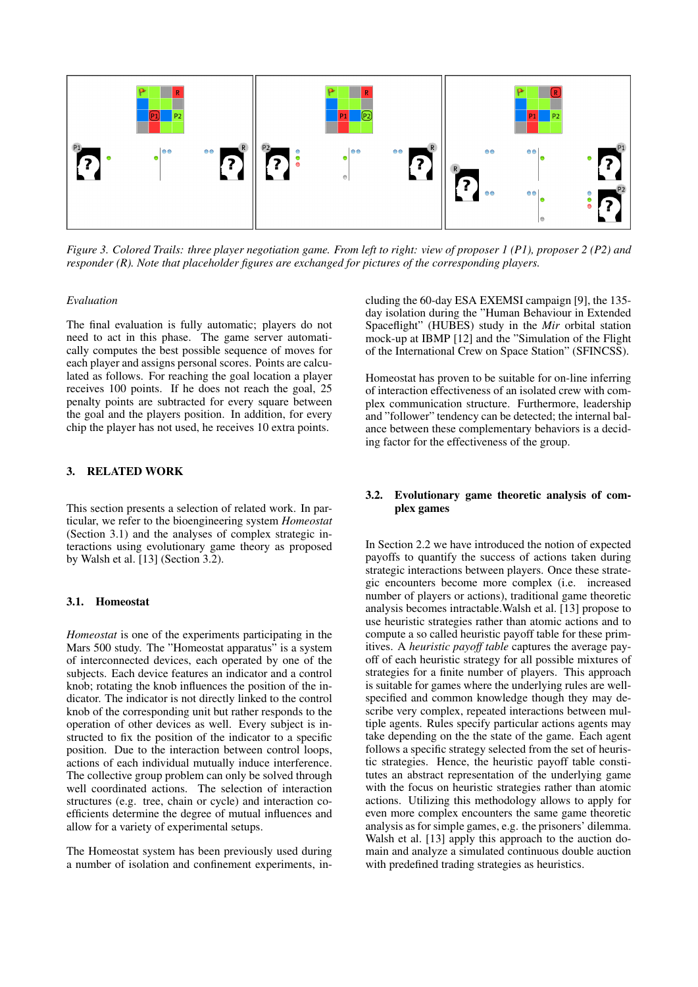

*Figure 3. Colored Trails: three player negotiation game. From left to right: view of proposer 1 (P1), proposer 2 (P2) and responder (R). Note that placeholder figures are exchanged for pictures of the corresponding players.*

## *Evaluation*

The final evaluation is fully automatic; players do not need to act in this phase. The game server automatically computes the best possible sequence of moves for each player and assigns personal scores. Points are calculated as follows. For reaching the goal location a player receives 100 points. If he does not reach the goal, 25 penalty points are subtracted for every square between the goal and the players position. In addition, for every chip the player has not used, he receives 10 extra points.

## 3. RELATED WORK

This section presents a selection of related work. In particular, we refer to the bioengineering system *Homeostat* (Section 3.1) and the analyses of complex strategic interactions using evolutionary game theory as proposed by Walsh et al. [13] (Section 3.2).

### 3.1. Homeostat

*Homeostat* is one of the experiments participating in the Mars 500 study. The "Homeostat apparatus" is a system of interconnected devices, each operated by one of the subjects. Each device features an indicator and a control knob; rotating the knob influences the position of the indicator. The indicator is not directly linked to the control knob of the corresponding unit but rather responds to the operation of other devices as well. Every subject is instructed to fix the position of the indicator to a specific position. Due to the interaction between control loops, actions of each individual mutually induce interference. The collective group problem can only be solved through well coordinated actions. The selection of interaction structures (e.g. tree, chain or cycle) and interaction coefficients determine the degree of mutual influences and allow for a variety of experimental setups.

The Homeostat system has been previously used during a number of isolation and confinement experiments, including the 60-day ESA EXEMSI campaign [9], the 135 day isolation during the "Human Behaviour in Extended Spaceflight" (HUBES) study in the *Mir* orbital station mock-up at IBMP [12] and the "Simulation of the Flight of the International Crew on Space Station" (SFINCSS).

Homeostat has proven to be suitable for on-line inferring of interaction effectiveness of an isolated crew with complex communication structure. Furthermore, leadership and "follower" tendency can be detected; the internal balance between these complementary behaviors is a deciding factor for the effectiveness of the group.

## 3.2. Evolutionary game theoretic analysis of complex games

In Section 2.2 we have introduced the notion of expected payoffs to quantify the success of actions taken during strategic interactions between players. Once these strategic encounters become more complex (i.e. increased number of players or actions), traditional game theoretic analysis becomes intractable.Walsh et al. [13] propose to use heuristic strategies rather than atomic actions and to compute a so called heuristic payoff table for these primitives. A *heuristic payoff table* captures the average payoff of each heuristic strategy for all possible mixtures of strategies for a finite number of players. This approach is suitable for games where the underlying rules are wellspecified and common knowledge though they may describe very complex, repeated interactions between multiple agents. Rules specify particular actions agents may take depending on the the state of the game. Each agent follows a specific strategy selected from the set of heuristic strategies. Hence, the heuristic payoff table constitutes an abstract representation of the underlying game with the focus on heuristic strategies rather than atomic actions. Utilizing this methodology allows to apply for even more complex encounters the same game theoretic analysis as for simple games, e.g. the prisoners' dilemma. Walsh et al. [13] apply this approach to the auction domain and analyze a simulated continuous double auction with predefined trading strategies as heuristics.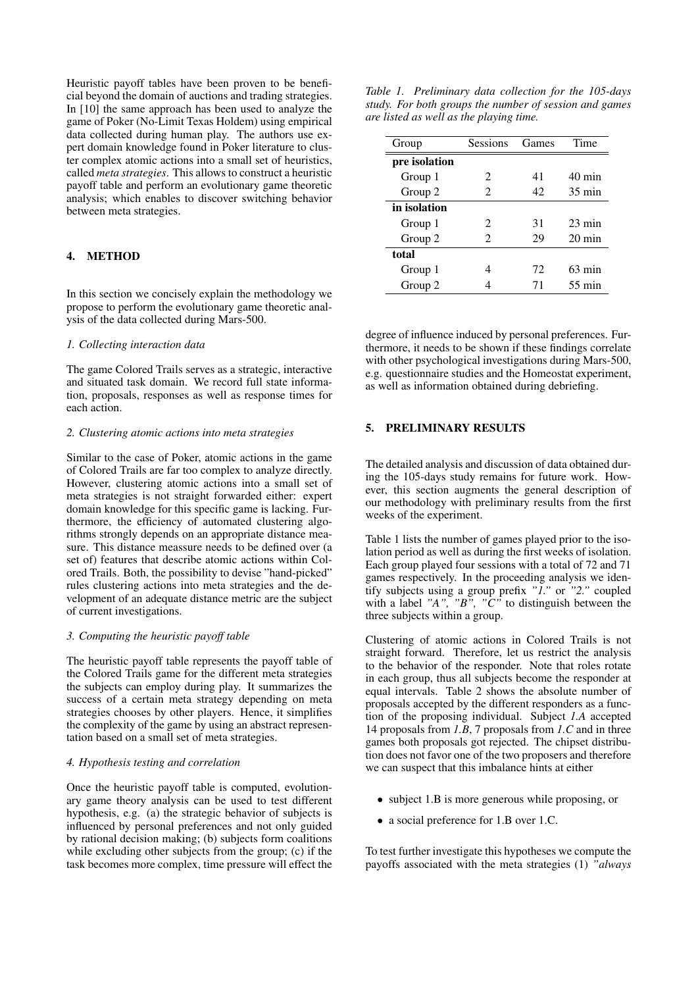Heuristic payoff tables have been proven to be beneficial beyond the domain of auctions and trading strategies. In [10] the same approach has been used to analyze the game of Poker (No-Limit Texas Holdem) using empirical data collected during human play. The authors use expert domain knowledge found in Poker literature to cluster complex atomic actions into a small set of heuristics, called *meta strategies*. This allows to construct a heuristic payoff table and perform an evolutionary game theoretic analysis; which enables to discover switching behavior between meta strategies.

## 4. METHOD

In this section we concisely explain the methodology we propose to perform the evolutionary game theoretic analysis of the data collected during Mars-500.

### *1. Collecting interaction data*

The game Colored Trails serves as a strategic, interactive and situated task domain. We record full state information, proposals, responses as well as response times for each action.

#### *2. Clustering atomic actions into meta strategies*

Similar to the case of Poker, atomic actions in the game of Colored Trails are far too complex to analyze directly. However, clustering atomic actions into a small set of meta strategies is not straight forwarded either: expert domain knowledge for this specific game is lacking. Furthermore, the efficiency of automated clustering algorithms strongly depends on an appropriate distance measure. This distance meassure needs to be defined over (a set of) features that describe atomic actions within Colored Trails. Both, the possibility to devise "hand-picked" rules clustering actions into meta strategies and the development of an adequate distance metric are the subject of current investigations.

#### *3. Computing the heuristic payoff table*

The heuristic payoff table represents the payoff table of the Colored Trails game for the different meta strategies the subjects can employ during play. It summarizes the success of a certain meta strategy depending on meta strategies chooses by other players. Hence, it simplifies the complexity of the game by using an abstract representation based on a small set of meta strategies.

## *4. Hypothesis testing and correlation*

Once the heuristic payoff table is computed, evolutionary game theory analysis can be used to test different hypothesis, e.g. (a) the strategic behavior of subjects is influenced by personal preferences and not only guided by rational decision making; (b) subjects form coalitions while excluding other subjects from the group; (c) if the task becomes more complex, time pressure will effect the

|  | Table 1. Preliminary data collection for the 105-days  |  |  |  |  |
|--|--------------------------------------------------------|--|--|--|--|
|  | study. For both groups the number of session and games |  |  |  |  |
|  | are listed as well as the playing time.                |  |  |  |  |

| Group         | Sessions       | Games | Time             |  |
|---------------|----------------|-------|------------------|--|
| pre isolation |                |       |                  |  |
| Group 1       | 2              | 41    | $40 \text{ min}$ |  |
| Group 2       | $\mathfrak{D}$ | 42    | $35 \text{ min}$ |  |
| in isolation  |                |       |                  |  |
| Group 1       | 2              | 31    | $23 \text{ min}$ |  |
| Group 2       | 2              | 29    | $20 \text{ min}$ |  |
| total         |                |       |                  |  |
| Group 1       |                | 72    | $63 \text{ min}$ |  |
| Group 2       |                | 71    | $55 \text{ min}$ |  |

degree of influence induced by personal preferences. Furthermore, it needs to be shown if these findings correlate with other psychological investigations during Mars-500, e.g. questionnaire studies and the Homeostat experiment, as well as information obtained during debriefing.

#### 5. PRELIMINARY RESULTS

The detailed analysis and discussion of data obtained during the 105-days study remains for future work. However, this section augments the general description of our methodology with preliminary results from the first weeks of the experiment.

Table 1 lists the number of games played prior to the isolation period as well as during the first weeks of isolation. Each group played four sessions with a total of 72 and 71 games respectively. In the proceeding analysis we identify subjects using a group prefix *"1."* or *"2."* coupled with a label "A", "B", "C" to distinguish between the three subjects within a group.

Clustering of atomic actions in Colored Trails is not straight forward. Therefore, let us restrict the analysis to the behavior of the responder. Note that roles rotate in each group, thus all subjects become the responder at equal intervals. Table 2 shows the absolute number of proposals accepted by the different responders as a function of the proposing individual. Subject *1.A* accepted 14 proposals from *1.B*, 7 proposals from *1.C* and in three games both proposals got rejected. The chipset distribution does not favor one of the two proposers and therefore we can suspect that this imbalance hints at either

- subject 1.B is more generous while proposing, or
- a social preference for 1.B over 1.C.

To test further investigate this hypotheses we compute the payoffs associated with the meta strategies (1) *"always*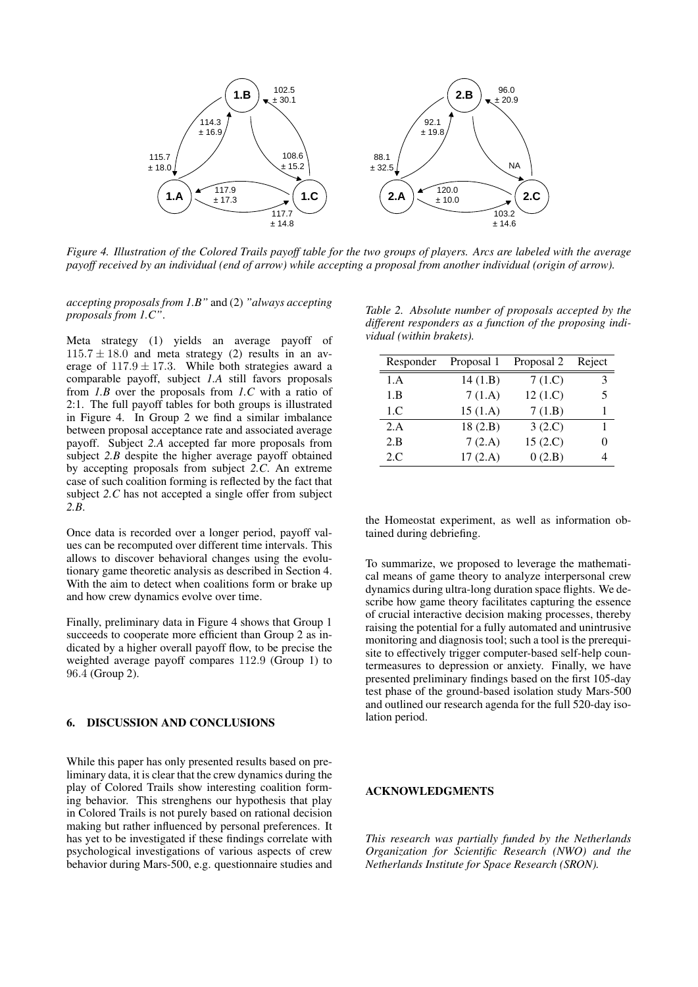

*Figure 4. Illustration of the Colored Trails payoff table for the two groups of players. Arcs are labeled with the average payoff received by an individual (end of arrow) while accepting a proposal from another individual (origin of arrow).*

*accepting proposals from 1.B"* and (2) *"always accepting proposals from 1.C"*.

Meta strategy (1) yields an average payoff of  $115.7 \pm 18.0$  and meta strategy (2) results in an average of  $117.9 \pm 17.3$ . While both strategies award a comparable payoff, subject *1.A* still favors proposals from *1.B* over the proposals from *1.C* with a ratio of 2:1. The full payoff tables for both groups is illustrated in Figure 4. In Group 2 we find a similar imbalance between proposal acceptance rate and associated average payoff. Subject *2.A* accepted far more proposals from subject 2.*B* despite the higher average payoff obtained by accepting proposals from subject *2.C*. An extreme case of such coalition forming is reflected by the fact that subject *2.C* has not accepted a single offer from subject *2.B*.

Once data is recorded over a longer period, payoff values can be recomputed over different time intervals. This allows to discover behavioral changes using the evolutionary game theoretic analysis as described in Section 4. With the aim to detect when coalitions form or brake up and how crew dynamics evolve over time.

Finally, preliminary data in Figure 4 shows that Group 1 succeeds to cooperate more efficient than Group 2 as indicated by a higher overall payoff flow, to be precise the weighted average payoff compares 112.9 (Group 1) to 96.4 (Group 2).

## 6. DISCUSSION AND CONCLUSIONS

While this paper has only presented results based on preliminary data, it is clear that the crew dynamics during the play of Colored Trails show interesting coalition forming behavior. This strenghens our hypothesis that play in Colored Trails is not purely based on rational decision making but rather influenced by personal preferences. It has yet to be investigated if these findings correlate with psychological investigations of various aspects of crew behavior during Mars-500, e.g. questionnaire studies and

*Table 2. Absolute number of proposals accepted by the different responders as a function of the proposing individual (within brakets).*

| Responder | Proposal 1 | Proposal 2 | Reject |
|-----------|------------|------------|--------|
| 1.A       | 14(1.B)    | 7(1.C)     | 3      |
| 1.B       | 7(1.A)     | 12(1.C)    | 5      |
| 1.C       | 15(1.A)    | 7(1.B)     |        |
| 2.A       | 18(2.B)    | 3(2.C)     |        |
| 2.B       | 7(2.A)     | 15(2.C)    |        |
| 2.C       | 17(2.A)    | 0(2.B)     |        |

the Homeostat experiment, as well as information obtained during debriefing.

To summarize, we proposed to leverage the mathematical means of game theory to analyze interpersonal crew dynamics during ultra-long duration space flights. We describe how game theory facilitates capturing the essence of crucial interactive decision making processes, thereby raising the potential for a fully automated and unintrusive monitoring and diagnosis tool; such a tool is the prerequisite to effectively trigger computer-based self-help countermeasures to depression or anxiety. Finally, we have presented preliminary findings based on the first 105-day test phase of the ground-based isolation study Mars-500 and outlined our research agenda for the full 520-day isolation period.

## ACKNOWLEDGMENTS

*This research was partially funded by the Netherlands Organization for Scientific Research (NWO) and the Netherlands Institute for Space Research (SRON).*